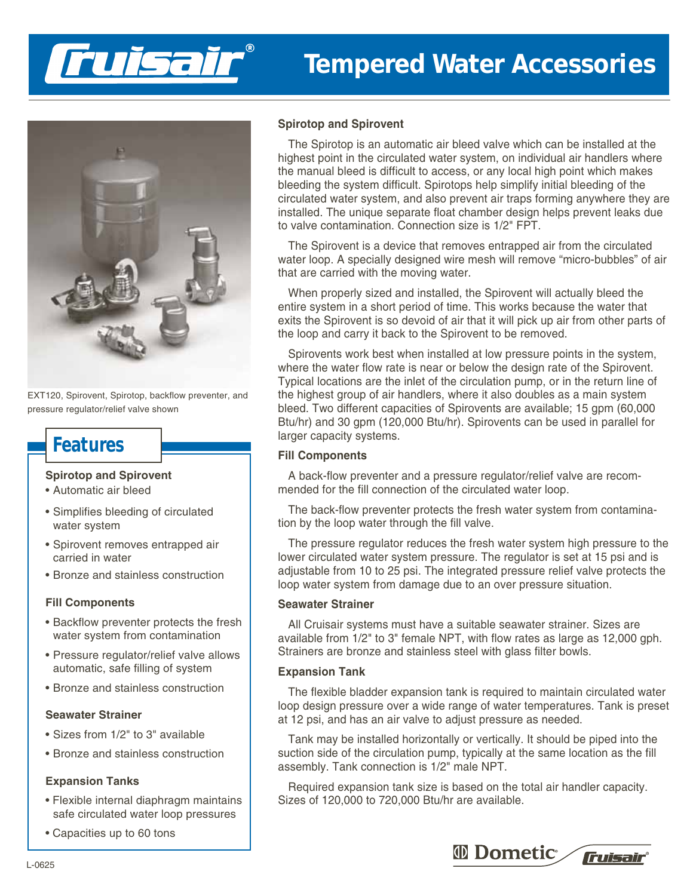

# **Tempered Water Accessories**



EXT120, Spirovent, Spirotop, backflow preventer, and pressure regulator/relief valve shown

# **Features**

#### **Spirotop and Spirovent**

- Automatic air bleed
- Simplifies bleeding of circulated water system
- Spirovent removes entrapped air carried in water
- Bronze and stainless construction

#### **Fill Components**

- Backflow preventer protects the fresh water system from contamination
- Pressure regulator/relief valve allows automatic, safe filling of system
- Bronze and stainless construction

### **Seawater Strainer**

- Sizes from 1/2" to 3" available
- Bronze and stainless construction

#### **Expansion Tanks**

- Flexible internal diaphragm maintains safe circulated water loop pressures
- Capacities up to 60 tons

# **Spirotop and Spirovent**

The Spirotop is an automatic air bleed valve which can be installed at the highest point in the circulated water system, on individual air handlers where the manual bleed is difficult to access, or any local high point which makes bleeding the system difficult. Spirotops help simplify initial bleeding of the circulated water system, and also prevent air traps forming anywhere they are installed. The unique separate float chamber design helps prevent leaks due to valve contamination. Connection size is 1/2" FPT.

The Spirovent is a device that removes entrapped air from the circulated water loop. A specially designed wire mesh will remove "micro-bubbles" of air that are carried with the moving water.

When properly sized and installed, the Spirovent will actually bleed the entire system in a short period of time. This works because the water that exits the Spirovent is so devoid of air that it will pick up air from other parts of the loop and carry it back to the Spirovent to be removed.

Spirovents work best when installed at low pressure points in the system, where the water flow rate is near or below the design rate of the Spirovent. Typical locations are the inlet of the circulation pump, or in the return line of the highest group of air handlers, where it also doubles as a main system bleed. Two different capacities of Spirovents are available; 15 gpm (60,000 Btu/hr) and 30 gpm (120,000 Btu/hr). Spirovents can be used in parallel for larger capacity systems.

## **Fill Components**

A back-flow preventer and a pressure regulator/relief valve are recommended for the fill connection of the circulated water loop.

The back-flow preventer protects the fresh water system from contamination by the loop water through the fill valve.

The pressure regulator reduces the fresh water system high pressure to the lower circulated water system pressure. The regulator is set at 15 psi and is adjustable from 10 to 25 psi. The integrated pressure relief valve protects the loop water system from damage due to an over pressure situation.

### **Seawater Strainer**

All Cruisair systems must have a suitable seawater strainer. Sizes are available from 1/2" to 3" female NPT, with flow rates as large as 12,000 gph. Strainers are bronze and stainless steel with glass filter bowls.

#### **Expansion Tank**

The flexible bladder expansion tank is required to maintain circulated water loop design pressure over a wide range of water temperatures. Tank is preset at 12 psi, and has an air valve to adjust pressure as needed.

Tank may be installed horizontally or vertically. It should be piped into the suction side of the circulation pump, typically at the same location as the fill assembly. Tank connection is 1/2" male NPT.

Required expansion tank size is based on the total air handler capacity. Sizes of 120,000 to 720,000 Btu/hr are available.